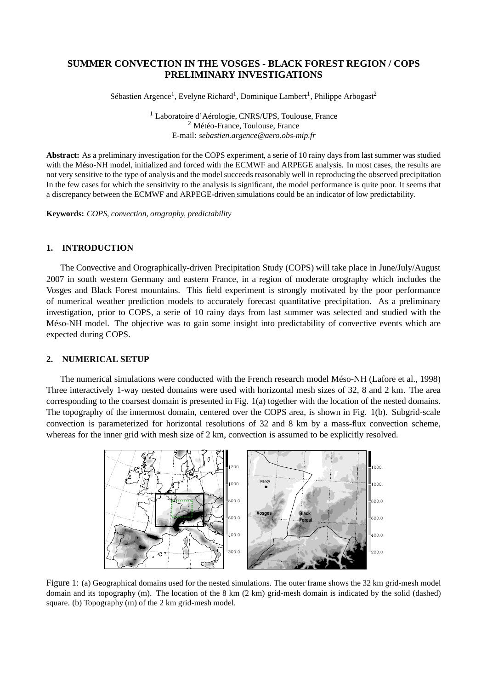# **SUMMER CONVECTION IN THE VOSGES - BLACK FOREST REGION / COPS PRELIMINARY INVESTIGATIONS**

Sébastien Argence<sup>1</sup>, Evelyne Richard<sup>1</sup>, Dominique Lambert<sup>1</sup>, Philippe Arbogast<sup>2</sup>

<sup>1</sup> Laboratoire d'Aérologie, CNRS/UPS, Toulouse, France <sup>2</sup> Météo-France, Toulouse, France E-mail: *sebastien.argence@aero.obs-mip.fr*

**Abstract:** As a preliminary investigation for the COPS experiment, a serie of 10 rainy days from last summer was studied with the Méso-NH model, initialized and forced with the ECMWF and ARPEGE analysis. In most cases, the results are not very sensitive to the type of analysis and the model succeeds reasonably well in reproducing the observed precipitation In the few cases for which the sensitivity to the analysis is significant, the model performance is quite poor. It seems that a discrepancy between the ECMWF and ARPEGE-driven simulations could be an indicator of low predictability.

**Keywords:** *COPS, convection, orography, predictability*

# **1. INTRODUCTION**

The Convective and Orographically-driven Precipitation Study (COPS) will take place in June/July/August 2007 in south western Germany and eastern France, in a region of moderate orography which includes the Vosges and Black Forest mountains. This field experiment is strongly motivated by the poor performance of numerical weather prediction models to accurately forecast quantitative precipitation. As a preliminary investigation, prior to COPS, a serie of 10 rainy days from last summer was selected and studied with the Méso-NH model. The objective was to gain some insight into predictability of convective events which are expected during COPS.

# **2. NUMERICAL SETUP**

The numerical simulations were conducted with the French research model Méso-NH (Lafore et al., 1998) Three interactively 1-way nested domains were used with horizontal mesh sizes of 32, 8 and 2 km. The area corresponding to the coarsest domain is presented in Fig. 1(a) together with the location of the nested domains. The topography of the innermost domain, centered over the COPS area, is shown in Fig. 1(b). Subgrid-scale convection is parameterized for horizontal resolutions of 32 and 8 km by a mass-flux convection scheme, whereas for the inner grid with mesh size of 2 km, convection is assumed to be explicitly resolved.



Figure 1: (a) Geographical domains used for the nested simulations. The outer frame shows the 32 km grid-mesh model domain and its topography (m). The location of the 8 km (2 km) grid-mesh domain is indicated by the solid (dashed) square. (b) Topography (m) of the 2 km grid-mesh model.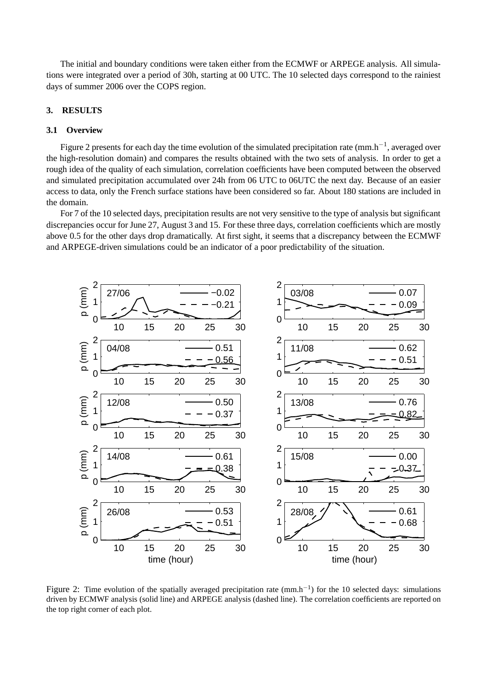The initial and boundary conditions were taken either from the ECMWF or ARPEGE analysis. All simulations were integrated over a period of 30h, starting at 00 UTC. The 10 selected days correspond to the rainiest days of summer 2006 over the COPS region.

## **3. RESULTS**

#### **3.1 Overview**

Figure 2 presents for each day the time evolution of the simulated precipitation rate (mm.h<sup>-1</sup>, averaged over the high-resolution domain) and compares the results obtained with the two sets of analysis. In order to get a rough idea of the quality of each simulation, correlation coefficients have been computed between the observed and simulated precipitation accumulated over 24h from 06 UTC to 06UTC the next day. Because of an easier access to data, only the French surface stations have been considered so far. About 180 stations are included in the domain.

For 7 of the 10 selected days, precipitation results are not very sensitive to the type of analysis but significant discrepancies occur for June 27, August 3 and 15. For these three days, correlation coefficients which are mostly above 0.5 for the other days drop dramatically. At first sight, it seems that a discrepancy between the ECMWF and ARPEGE-driven simulations could be an indicator of a poor predictability of the situation.



Figure 2: Time evolution of the spatially averaged precipitation rate  $(mm.h^{-1})$  for the 10 selected days: simulations driven by ECMWF analysis (solid line) and ARPEGE analysis (dashed line). The correlation coefficients are reported on the top right corner of each plot.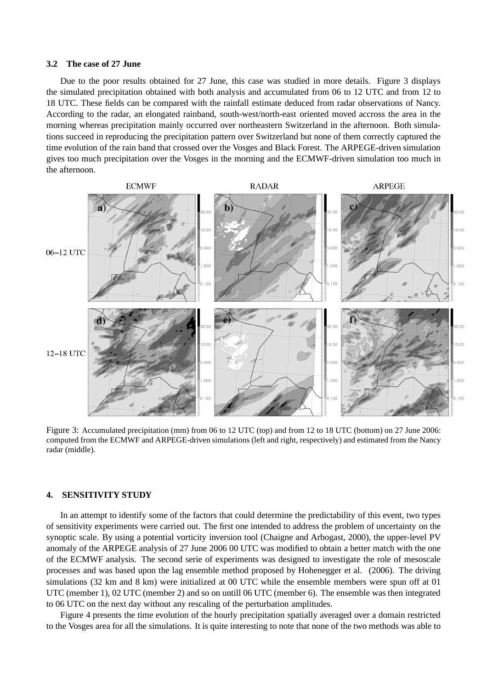#### **3.2 The case of 27 June**

Due to the poor results obtained for 27 June, this case was studied in more details. Figure 3 displays the simulated precipitation obtained with both analysis and accumulated from 06 to 12 UTC and from 12 to 18 UTC. These fields can be compared with the rainfall estimate deduced from radar observations of Nancy. According to the radar, an elongated rainband, south-west/north-east oriented moved accross the area in the morning whereas precipitation mainly occurred over northeastern Switzerland in the afternoon. Both simulations succeed in reproducing the precipitation pattern over Switzerland but none of them correctly captured the time evolution of the rain band that crossed over the Vosges and Black Forest. The ARPEGE-driven simulation gives too much precipitation over the Vosges in the morning and the ECMWF-driven simulation too much in the afternoon.



Figure 3: Accumulated precipitation (mm) from 06 to 12 UTC (top) and from 12 to 18 UTC (bottom) on 27 June 2006: computed from the ECMWF and ARPEGE-driven simulations (left and right, respectively) and estimated from the Nancy radar (middle).

#### **4. SENSITIVITY STUDY**

In an attempt to identify some of the factors that could determine the predictability of this event, two types of sensitivity experiments were carried out. The first one intended to address the problem of uncertainty on the synoptic scale. By using a potential vorticity inversion tool (Chaigne and Arbogast, 2000), the upper-level PV anomaly of the ARPEGE analysis of 27 June 2006 00 UTC was modified to obtain a better match with the one of the ECMWF analysis. The second serie of experiments was designed to investigate the role of mesoscale processes and was based upon the lag ensemble method proposed by Hohenegger et al. (2006). The driving simulations (32 km and 8 km) were initialized at 00 UTC while the ensemble members were spun off at 01 UTC (member 1), 02 UTC (member 2) and so on untill 06 UTC (member 6). The ensemble was then integrated to 06 UTC on the next day without any rescaling of the perturbation amplitudes.

Figure 4 presents the time evolution of the hourly precipitation spatially averaged over a domain restricted to the Vosges area for all the simulations. It is quite interesting to note that none of the two methods was able to